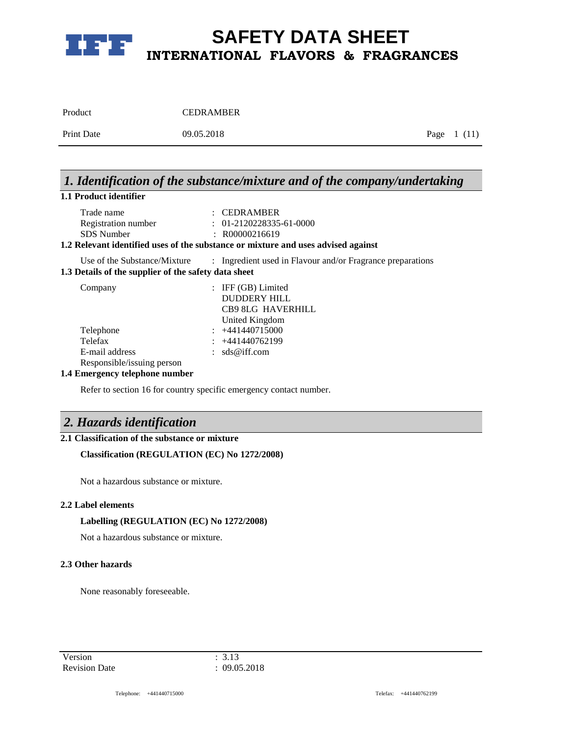

| Product           | <b>CEDRAMBER</b> |              |
|-------------------|------------------|--------------|
| <b>Print Date</b> | 09.05.2018       | Page $1(11)$ |

# *1. Identification of the substance/mixture and of the company/undertaking*

## **1.1 Product identifier**

| Trade name          | $\therefore$ CEDRAMBER    |
|---------------------|---------------------------|
| Registration number | $: 01-2120228335-61-0000$ |
| SDS Number          | $\therefore$ R00000216619 |

### **1.2 Relevant identified uses of the substance or mixture and uses advised against**

Use of the Substance/Mixture : Ingredient used in Flavour and/or Fragrance preparations

**1.3 Details of the supplier of the safety data sheet**

| Company                    | : IFF $(GB)$ Limited |
|----------------------------|----------------------|
|                            | DUDDERY HILL         |
|                            | CB9 8LG HAVERHILL    |
|                            | United Kingdom       |
| Telephone                  | $\div$ +441440715000 |
| Telefax                    | $: +441440762199$    |
| E-mail address             | : $sds@iff.com$      |
| Responsible/issuing person |                      |

### **1.4 Emergency telephone number**

Refer to section 16 for country specific emergency contact number.

# *2. Hazards identification*

## **2.1 Classification of the substance or mixture**

### **Classification (REGULATION (EC) No 1272/2008)**

Not a hazardous substance or mixture.

### **2.2 Label elements**

### **Labelling (REGULATION (EC) No 1272/2008)**

Not a hazardous substance or mixture.

### **2.3 Other hazards**

None reasonably foreseeable.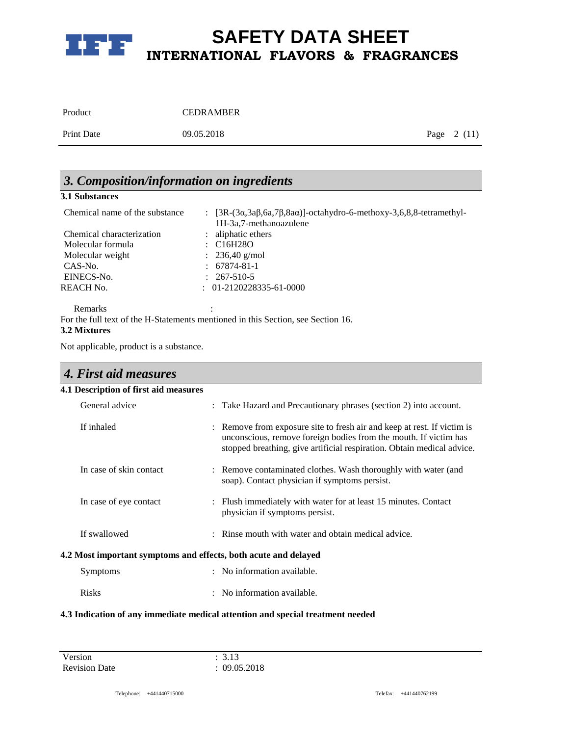

| Product           | <b>CEDRAMBER</b> |              |
|-------------------|------------------|--------------|
| <b>Print Date</b> | 09.05.2018       | Page $2(11)$ |

# *3. Composition/information on ingredients*

### **3.1 Substances**

| Chemical name of the substance | : $[3R-(3\alpha,3\alpha\beta,6\alpha,7\beta,8\alpha\alpha)]$ -octahydro-6-methoxy-3,6,8,8-tetramethyl-<br>1H-3a,7-methanoazulene |
|--------------------------------|----------------------------------------------------------------------------------------------------------------------------------|
| Chemical characterization      | : aliphatic ethers                                                                                                               |
| Molecular formula              | $\therefore$ C16H28O                                                                                                             |
| Molecular weight               | : $236,40 \text{ g/mol}$                                                                                                         |
| CAS-No.                        | $: 67874 - 81 - 1$                                                                                                               |
| EINECS-No.                     | $: 267-510-5$                                                                                                                    |
| <b>REACH No.</b>               | $: 01-2120228335-61-0000$                                                                                                        |
|                                |                                                                                                                                  |

Remarks : the second state  $\mathbb{R}^n$  is the second state  $\mathbb{R}^n$  is the second state  $\mathbb{R}^n$  is the second state  $\mathbb{R}^n$  is the second state  $\mathbb{R}^n$  is the second state  $\mathbb{R}^n$  is the second state  $\mathbb{R}^n$ For the full text of the H-Statements mentioned in this Section, see Section 16. **3.2 Mixtures**

Not applicable, product is a substance.

| 4. First aid measures                                           |                                                                                                                                                                                                                                       |
|-----------------------------------------------------------------|---------------------------------------------------------------------------------------------------------------------------------------------------------------------------------------------------------------------------------------|
| 4.1 Description of first aid measures                           |                                                                                                                                                                                                                                       |
| General advice                                                  | Take Hazard and Precautionary phrases (section 2) into account.<br>÷                                                                                                                                                                  |
| If inhaled                                                      | Remove from exposure site to fresh air and keep at rest. If victim is<br>$\ddot{\cdot}$<br>unconscious, remove foreign bodies from the mouth. If victim has<br>stopped breathing, give artificial respiration. Obtain medical advice. |
| In case of skin contact                                         | : Remove contaminated clothes. Wash thoroughly with water (and<br>soap). Contact physician if symptoms persist.                                                                                                                       |
| In case of eye contact                                          | : Flush immediately with water for at least 15 minutes. Contact<br>physician if symptoms persist.                                                                                                                                     |
| If swallowed                                                    | Rinse mouth with water and obtain medical advice.<br>$\ddot{\phantom{a}}$                                                                                                                                                             |
| 4.2 Most important symptoms and effects, both acute and delayed |                                                                                                                                                                                                                                       |
| Symptoms                                                        | : No information available.                                                                                                                                                                                                           |
| <b>Risks</b>                                                    | No information available.<br>÷                                                                                                                                                                                                        |
|                                                                 | a e seu se sur le seu seu est entre la                                                                                                                                                                                                |

### **4.3 Indication of any immediate medical attention and special treatment needed**

Version : 3.13 Revision Date : 09.05.2018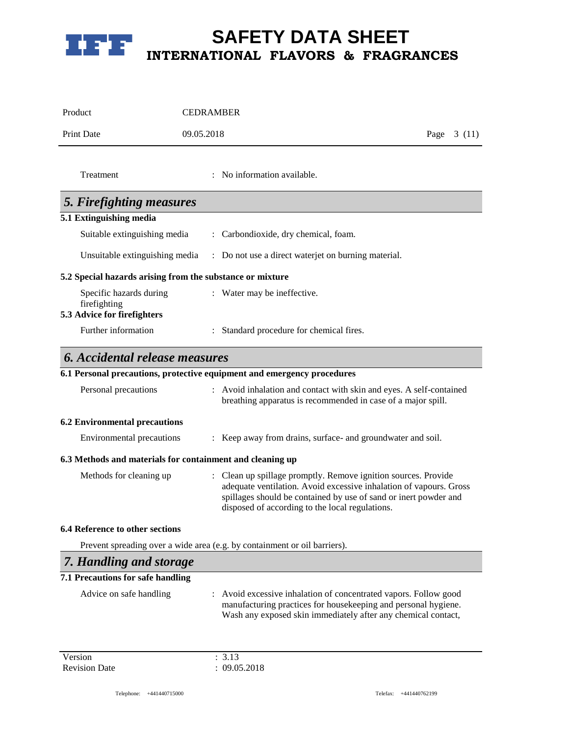

| Product                                                   | <b>CEDRAMBER</b>                                                                                                                                                                                                                                            |               |
|-----------------------------------------------------------|-------------------------------------------------------------------------------------------------------------------------------------------------------------------------------------------------------------------------------------------------------------|---------------|
| <b>Print Date</b>                                         | 09.05.2018                                                                                                                                                                                                                                                  | 3(11)<br>Page |
| Treatment                                                 | : No information available.                                                                                                                                                                                                                                 |               |
| 5. Firefighting measures                                  |                                                                                                                                                                                                                                                             |               |
| 5.1 Extinguishing media                                   |                                                                                                                                                                                                                                                             |               |
| Suitable extinguishing media                              | Carbondioxide, dry chemical, foam.                                                                                                                                                                                                                          |               |
| Unsuitable extinguishing media                            | : Do not use a direct waterjet on burning material.                                                                                                                                                                                                         |               |
| 5.2 Special hazards arising from the substance or mixture |                                                                                                                                                                                                                                                             |               |
| Specific hazards during<br>firefighting                   | : Water may be ineffective.                                                                                                                                                                                                                                 |               |
| 5.3 Advice for firefighters                               |                                                                                                                                                                                                                                                             |               |
| Further information                                       | Standard procedure for chemical fires.                                                                                                                                                                                                                      |               |
| <b>6. Accidental release measures</b>                     |                                                                                                                                                                                                                                                             |               |
|                                                           | 6.1 Personal precautions, protective equipment and emergency procedures                                                                                                                                                                                     |               |
| Personal precautions                                      | Avoid inhalation and contact with skin and eyes. A self-contained<br>breathing apparatus is recommended in case of a major spill.                                                                                                                           |               |
| <b>6.2 Environmental precautions</b>                      |                                                                                                                                                                                                                                                             |               |
| <b>Environmental precautions</b>                          | Keep away from drains, surface- and groundwater and soil.                                                                                                                                                                                                   |               |
| 6.3 Methods and materials for containment and cleaning up |                                                                                                                                                                                                                                                             |               |
| Methods for cleaning up                                   | : Clean up spillage promptly. Remove ignition sources. Provide<br>adequate ventilation. Avoid excessive inhalation of vapours. Gross<br>spillages should be contained by use of sand or inert powder and<br>disposed of according to the local regulations. |               |
| 6.4 Reference to other sections                           |                                                                                                                                                                                                                                                             |               |
|                                                           | Prevent spreading over a wide area (e.g. by containment or oil barriers).                                                                                                                                                                                   |               |
| 7. Handling and storage                                   |                                                                                                                                                                                                                                                             |               |
| 7.1 Precautions for safe handling                         |                                                                                                                                                                                                                                                             |               |
| Advice on safe handling                                   | Avoid excessive inhalation of concentrated vapors. Follow good<br>manufacturing practices for housekeeping and personal hygiene.<br>Wash any exposed skin immediately after any chemical contact,                                                           |               |

Version : 3.13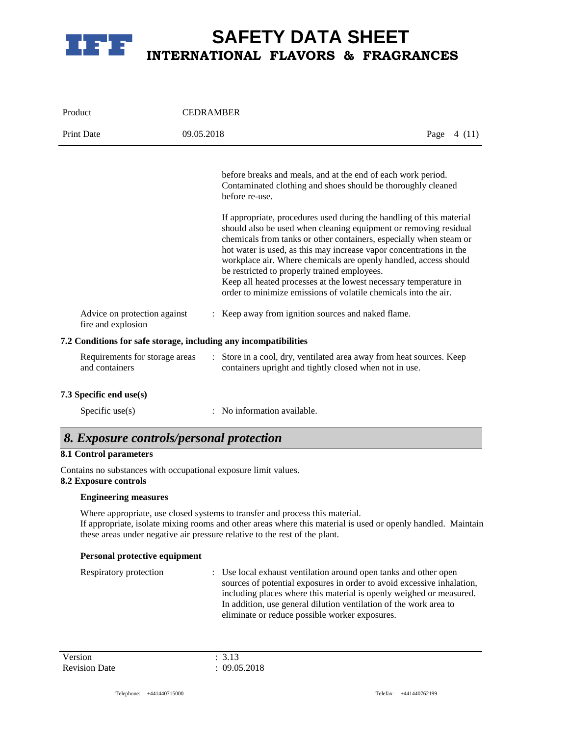

# **SAFETY DATA SHEET INTERNATIONAL FLAVORS & FRAGRANCES**

| Product                                            | <b>CEDRAMBER</b>                                                                                                                                                                                                                                                                                                                                                                                                                                                                                                                                                                                                                                                                                   |               |
|----------------------------------------------------|----------------------------------------------------------------------------------------------------------------------------------------------------------------------------------------------------------------------------------------------------------------------------------------------------------------------------------------------------------------------------------------------------------------------------------------------------------------------------------------------------------------------------------------------------------------------------------------------------------------------------------------------------------------------------------------------------|---------------|
| <b>Print Date</b>                                  | 09.05.2018                                                                                                                                                                                                                                                                                                                                                                                                                                                                                                                                                                                                                                                                                         | Page<br>4(11) |
|                                                    | before breaks and meals, and at the end of each work period.<br>Contaminated clothing and shoes should be thoroughly cleaned<br>before re-use.<br>If appropriate, procedures used during the handling of this material<br>should also be used when cleaning equipment or removing residual<br>chemicals from tanks or other containers, especially when steam or<br>hot water is used, as this may increase vapor concentrations in the<br>workplace air. Where chemicals are openly handled, access should<br>be restricted to properly trained employees.<br>Keep all heated processes at the lowest necessary temperature in<br>order to minimize emissions of volatile chemicals into the air. |               |
| Advice on protection against<br>fire and explosion | : Keep away from ignition sources and naked flame.                                                                                                                                                                                                                                                                                                                                                                                                                                                                                                                                                                                                                                                 |               |
|                                                    | 7.2 Conditions for safe storage, including any incompatibilities                                                                                                                                                                                                                                                                                                                                                                                                                                                                                                                                                                                                                                   |               |
| Requirements for storage areas<br>and containers   | : Store in a cool, dry, ventilated area away from heat sources. Keep<br>containers upright and tightly closed when not in use.                                                                                                                                                                                                                                                                                                                                                                                                                                                                                                                                                                     |               |
| 7.3 Specific end use(s)                            |                                                                                                                                                                                                                                                                                                                                                                                                                                                                                                                                                                                                                                                                                                    |               |

Specific use(s) : No information available.

# *8. Exposure controls/personal protection*

## **8.1 Control parameters**

Contains no substances with occupational exposure limit values.

### **8.2 Exposure controls**

### **Engineering measures**

Where appropriate, use closed systems to transfer and process this material. If appropriate, isolate mixing rooms and other areas where this material is used or openly handled. Maintain these areas under negative air pressure relative to the rest of the plant.

### **Personal protective equipment**

| : Use local exhaust ventilation around open tanks and other open       |
|------------------------------------------------------------------------|
| sources of potential exposures in order to avoid excessive inhalation, |
| including places where this material is openly weighed or measured.    |
| In addition, use general dilution ventilation of the work area to      |
| eliminate or reduce possible worker exposures.                         |
|                                                                        |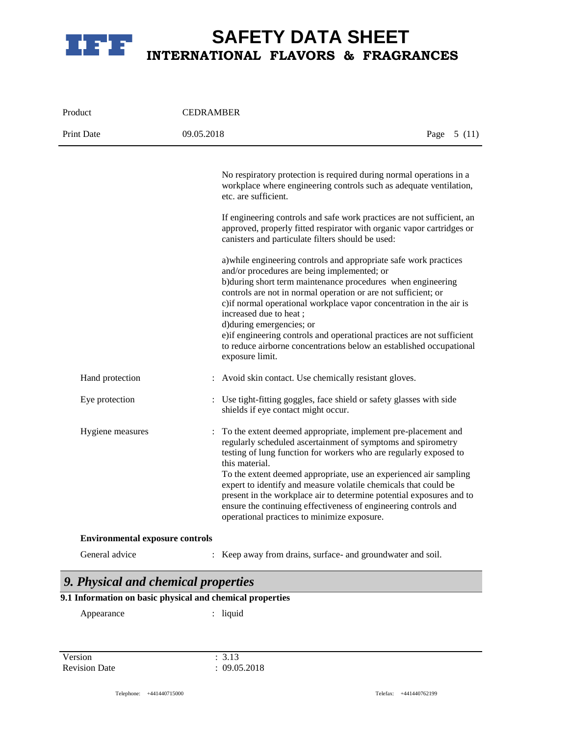

# **SAFETY DATA SHEET INTERNATIONAL FLAVORS & FRAGRANCES**

| Product                                | <b>CEDRAMBER</b>                                                                                                                                                                                                                                                                                                                                                                                                                                                                                                                                                                                                                                                                                                                                                                                                                         |              |
|----------------------------------------|------------------------------------------------------------------------------------------------------------------------------------------------------------------------------------------------------------------------------------------------------------------------------------------------------------------------------------------------------------------------------------------------------------------------------------------------------------------------------------------------------------------------------------------------------------------------------------------------------------------------------------------------------------------------------------------------------------------------------------------------------------------------------------------------------------------------------------------|--------------|
| <b>Print Date</b>                      | 09.05.2018                                                                                                                                                                                                                                                                                                                                                                                                                                                                                                                                                                                                                                                                                                                                                                                                                               | Page $5(11)$ |
|                                        | No respiratory protection is required during normal operations in a<br>workplace where engineering controls such as adequate ventilation,<br>etc. are sufficient.<br>If engineering controls and safe work practices are not sufficient, an<br>approved, properly fitted respirator with organic vapor cartridges or<br>canisters and particulate filters should be used:<br>a) while engineering controls and appropriate safe work practices<br>and/or procedures are being implemented; or<br>b)during short term maintenance procedures when engineering<br>controls are not in normal operation or are not sufficient; or<br>c) if normal operational workplace vapor concentration in the air is<br>increased due to heat;<br>d) during emergencies; or<br>e) if engineering controls and operational practices are not sufficient |              |
| Hand protection                        | to reduce airborne concentrations below an established occupational<br>exposure limit.<br>: Avoid skin contact. Use chemically resistant gloves.                                                                                                                                                                                                                                                                                                                                                                                                                                                                                                                                                                                                                                                                                         |              |
| Eye protection                         | : Use tight-fitting goggles, face shield or safety glasses with side<br>shields if eye contact might occur.                                                                                                                                                                                                                                                                                                                                                                                                                                                                                                                                                                                                                                                                                                                              |              |
| Hygiene measures                       | To the extent deemed appropriate, implement pre-placement and<br>regularly scheduled ascertainment of symptoms and spirometry<br>testing of lung function for workers who are regularly exposed to<br>this material.<br>To the extent deemed appropriate, use an experienced air sampling<br>expert to identify and measure volatile chemicals that could be<br>present in the workplace air to determine potential exposures and to<br>ensure the continuing effectiveness of engineering controls and<br>operational practices to minimize exposure.                                                                                                                                                                                                                                                                                   |              |
| <b>Environmental exposure controls</b> |                                                                                                                                                                                                                                                                                                                                                                                                                                                                                                                                                                                                                                                                                                                                                                                                                                          |              |
| General advice                         | Keep away from drains, surface- and groundwater and soil.                                                                                                                                                                                                                                                                                                                                                                                                                                                                                                                                                                                                                                                                                                                                                                                |              |

# *9. Physical and chemical properties*

# **9.1 Information on basic physical and chemical properties**

Appearance : liquid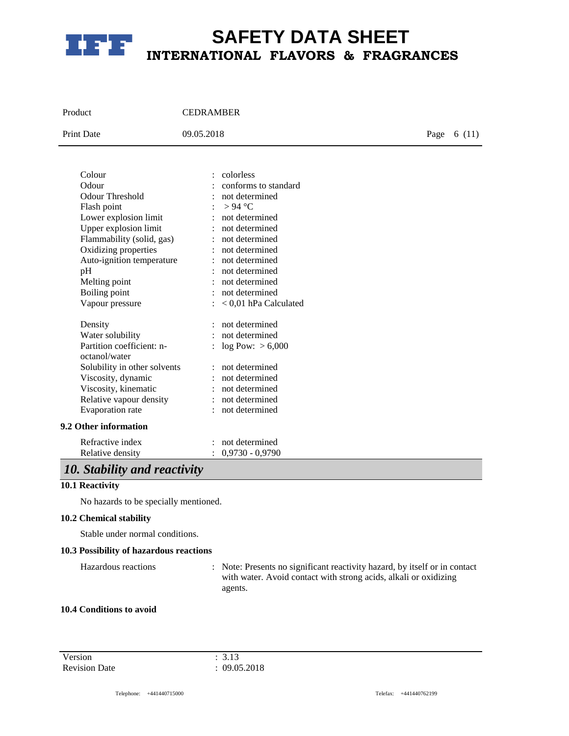

# **SAFETY DATA SHEET INTERNATIONAL FLAVORS & FRAGRANCES**

| Product                            | <b>CEDRAMBER</b>                                          |  |       |
|------------------------------------|-----------------------------------------------------------|--|-------|
| <b>Print Date</b>                  | 09.05.2018                                                |  | 6(11) |
| Colour<br>Odour<br>Odour Threshold | : colorless<br>: conforms to standard<br>: not determined |  |       |

| $: > 94$ °C               |
|---------------------------|
| : not determined          |
| : not determined          |
| : not determined          |
| : not determined          |
| : not determined          |
| : not determined          |
| : not determined          |
| : not determined          |
| $: < 0.01$ hPa Calculated |
| : not determined          |
| : not determined          |
| : $log Pow: > 6,000$      |
| : not determined          |
| : not determined          |
| : not determined          |
| : not determined          |
| : not determined          |
|                           |
|                           |

Refractive index : not determined Relative density : 0,9730 - 0,9790

# *10. Stability and reactivity*

### **10.1 Reactivity**

No hazards to be specially mentioned.

### **10.2 Chemical stability**

Stable under normal conditions.

## **10.3 Possibility of hazardous reactions**

Hazardous reactions : Note: Presents no significant reactivity hazard, by itself or in contact with water. Avoid contact with strong acids, alkali or oxidizing agents.

### **10.4 Conditions to avoid**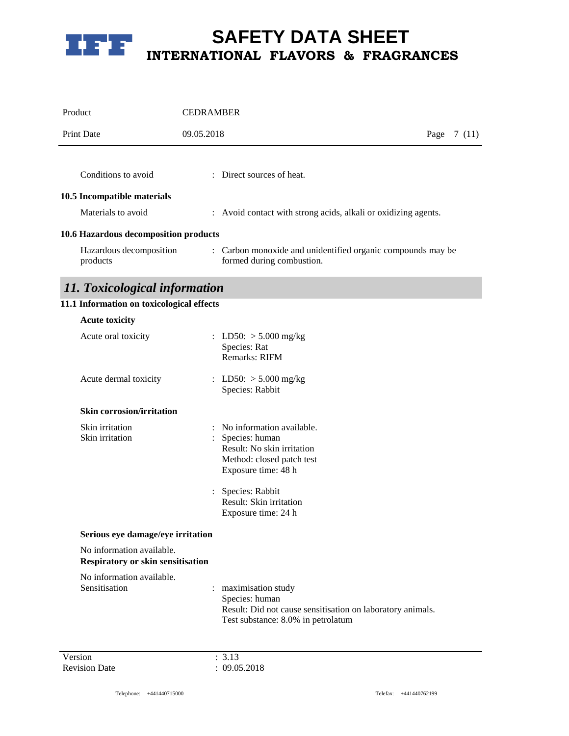

| Product                                   | <b>CEDRAMBER</b>                                                                         |        |  |
|-------------------------------------------|------------------------------------------------------------------------------------------|--------|--|
| <b>Print Date</b>                         | 09.05.2018<br>Page                                                                       | 7 (11) |  |
|                                           |                                                                                          |        |  |
| Conditions to avoid                       | $\therefore$ Direct sources of heat.                                                     |        |  |
| 10.5 Incompatible materials               |                                                                                          |        |  |
| Materials to avoid                        | : Avoid contact with strong acids, alkali or oxidizing agents.                           |        |  |
| 10.6 Hazardous decomposition products     |                                                                                          |        |  |
| Hazardous decomposition<br>products       | : Carbon monoxide and unidentified organic compounds may be<br>formed during combustion. |        |  |
| 11. Toxicological information             |                                                                                          |        |  |
| 11.1 Information on toxicological effects |                                                                                          |        |  |
| <b>Acute toxicity</b>                     |                                                                                          |        |  |

| Acute oral toxicity                                                   |    | : LD50: $>$ 5.000 mg/kg<br>Species: Rat<br><b>Remarks: RIFM</b>                                                                                                                                      |
|-----------------------------------------------------------------------|----|------------------------------------------------------------------------------------------------------------------------------------------------------------------------------------------------------|
| Acute dermal toxicity                                                 |    | : LD50: $> 5.000$ mg/kg<br>Species: Rabbit                                                                                                                                                           |
| <b>Skin corrosion/irritation</b>                                      |    |                                                                                                                                                                                                      |
| Skin irritation<br>Skin irritation                                    |    | : No information available.<br>Species: human<br>Result: No skin irritation<br>Method: closed patch test<br>Exposure time: 48 h<br>Species: Rabbit<br>Result: Skin irritation<br>Exposure time: 24 h |
| Serious eye damage/eye irritation                                     |    |                                                                                                                                                                                                      |
| No information available.<br><b>Respiratory or skin sensitisation</b> |    |                                                                                                                                                                                                      |
| No information available.<br>Sensitisation                            | ÷. | maximisation study<br>Species: human<br>Result: Did not cause sensitisation on laboratory animals.<br>Test substance: 8.0% in petrolatum                                                             |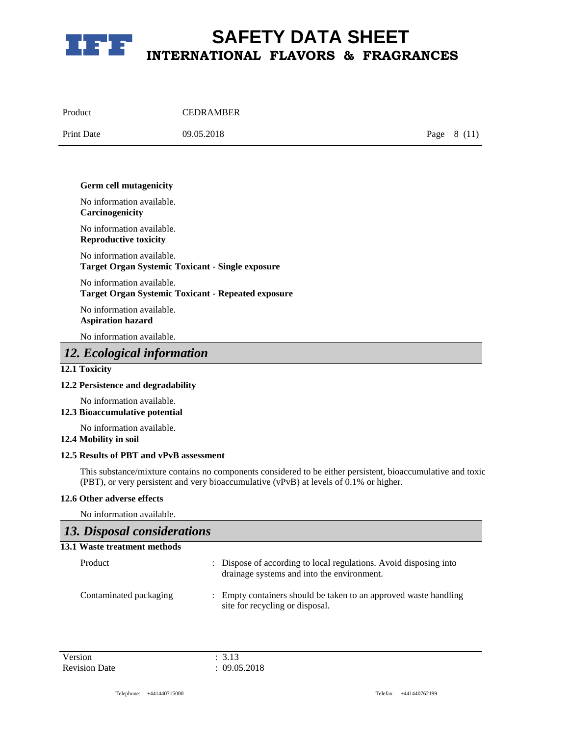

| Product           | <b>CEDRAMBER</b> |              |
|-------------------|------------------|--------------|
| <b>Print Date</b> | 09.05.2018       | Page $8(11)$ |

#### **Germ cell mutagenicity**

No information available. **Carcinogenicity**

No information available. **Reproductive toxicity**

No information available. **Target Organ Systemic Toxicant - Single exposure**

No information available. **Target Organ Systemic Toxicant - Repeated exposure**

No information available. **Aspiration hazard**

No information available.

# *12. Ecological information*

### **12.1 Toxicity**

### **12.2 Persistence and degradability**

No information available.

## **12.3 Bioaccumulative potential**

No information available.

## **12.4 Mobility in soil**

### **12.5 Results of PBT and vPvB assessment**

This substance/mixture contains no components considered to be either persistent, bioaccumulative and toxic (PBT), or very persistent and very bioaccumulative (vPvB) at levels of 0.1% or higher.

### **12.6 Other adverse effects**

No information available.

# *13. Disposal considerations*

| 13.1 Waste treatment methods |                                                                                                                 |
|------------------------------|-----------------------------------------------------------------------------------------------------------------|
| Product                      | : Dispose of according to local regulations. Avoid disposing into<br>drainage systems and into the environment. |
| Contaminated packaging       | : Empty containers should be taken to an approved waste handling<br>site for recycling or disposal.             |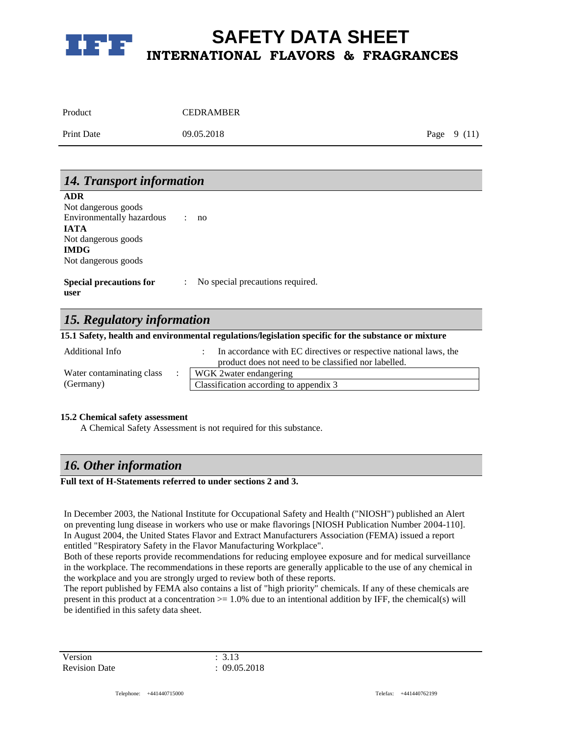

| Product           | <b>CEDRAMBER</b> |              |  |
|-------------------|------------------|--------------|--|
| <b>Print Date</b> | 09.05.2018       | Page $9(11)$ |  |

| 14. Transport information                                                                           |  |                                  |
|-----------------------------------------------------------------------------------------------------|--|----------------------------------|
| <b>ADR</b><br>Not dangerous goods                                                                   |  |                                  |
| Environmentally hazardous<br><b>IATA</b>                                                            |  | no                               |
| Not dangerous goods                                                                                 |  |                                  |
| <b>IMDG</b><br>Not dangerous goods                                                                  |  |                                  |
| <b>Special precautions for</b><br>user                                                              |  | No special precautions required. |
| 15. Regulatory information                                                                          |  |                                  |
| 15.1 Safety, health and environmental regulations/legislation specific for the substance or mixture |  |                                  |

| Additional Info           | In accordance with EC directives or respective national laws, the<br>product does not need to be classified nor labelled. |
|---------------------------|---------------------------------------------------------------------------------------------------------------------------|
| Water contaminating class | WGK 2 water endangering                                                                                                   |
| (Germany)                 | Classification according to appendix 3                                                                                    |

### **15.2 Chemical safety assessment**

A Chemical Safety Assessment is not required for this substance.

## *16. Other information*

### **Full text of H-Statements referred to under sections 2 and 3.**

In December 2003, the National Institute for Occupational Safety and Health ("NIOSH") published an Alert on preventing lung disease in workers who use or make flavorings [NIOSH Publication Number 2004-110]. In August 2004, the United States Flavor and Extract Manufacturers Association (FEMA) issued a report entitled "Respiratory Safety in the Flavor Manufacturing Workplace".

Both of these reports provide recommendations for reducing employee exposure and for medical surveillance in the workplace. The recommendations in these reports are generally applicable to the use of any chemical in the workplace and you are strongly urged to review both of these reports.

The report published by FEMA also contains a list of "high priority" chemicals. If any of these chemicals are present in this product at a concentration  $> = 1.0\%$  due to an intentional addition by IFF, the chemical(s) will be identified in this safety data sheet.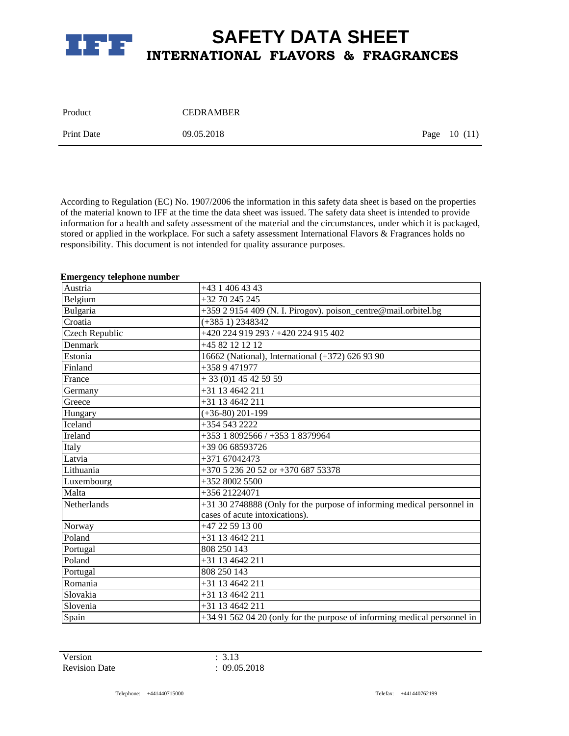

| Product           | <b>CEDRAMBER</b> |               |
|-------------------|------------------|---------------|
| <b>Print Date</b> | 09.05.2018       | Page $10(11)$ |

According to Regulation (EC) No. 1907/2006 the information in this safety data sheet is based on the properties of the material known to IFF at the time the data sheet was issued. The safety data sheet is intended to provide information for a health and safety assessment of the material and the circumstances, under which it is packaged, stored or applied in the workplace. For such a safety assessment International Flavors & Fragrances holds no responsibility. This document is not intended for quality assurance purposes.

### **Emergency telephone number**

| Austria        | +43 1 406 43 43                                                          |
|----------------|--------------------------------------------------------------------------|
| Belgium        | $+32$ 70 245 245                                                         |
| Bulgaria       | +359 2 9154 409 (N. I. Pirogov). poison_centre@mail.orbitel.bg           |
| Croatia        | $(+3851)$ 2348342                                                        |
| Czech Republic | +420 224 919 293 / +420 224 915 402                                      |
| Denmark        | +45 82 12 12 12                                                          |
| Estonia        | 16662 (National), International (+372) 626 93 90                         |
| Finland        | $+3589471977$                                                            |
| France         | $+33(0)145425959$                                                        |
| Germany        | $+31$ 13 4642 211                                                        |
| Greece         | $\overline{+31}$ 13 4642 211                                             |
| Hungary        | $(+36-80)$ 201-199                                                       |
| Iceland        | +354 543 2222                                                            |
| Ireland        | +353 1 8092566 / +353 1 8379964                                          |
| Italy          | +39 06 68593726                                                          |
| Latvia         | +371 67042473                                                            |
| Lithuania      | +370 5 236 20 52 or +370 687 53378                                       |
| Luxembourg     | +352 8002 5500                                                           |
| Malta          | $+35621224071$                                                           |
| Netherlands    | +31 30 2748888 (Only for the purpose of informing medical personnel in   |
|                | cases of acute intoxications).                                           |
| Norway         | +47 22 59 13 00                                                          |
| Poland         | +31 13 4642 211                                                          |
| Portugal       | 808 250 143                                                              |
| Poland         | +31 13 4642 211                                                          |
| Portugal       | 808 250 143                                                              |
| Romania        | +31 13 4642 211                                                          |
| Slovakia       | +31 13 4642 211                                                          |
| Slovenia       | $+31$ 13 4642 211                                                        |
| Spain          | +34 91 562 04 20 (only for the purpose of informing medical personnel in |

Version : 3.13 Revision Date : 09.05.2018